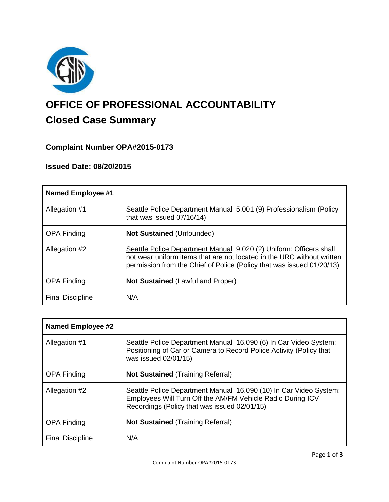

# **OFFICE OF PROFESSIONAL ACCOUNTABILITY Closed Case Summary**

# **Complaint Number OPA#2015-0173**

# **Issued Date: 08/20/2015**

| <b>Named Employee #1</b> |                                                                                                                                                                                                                       |
|--------------------------|-----------------------------------------------------------------------------------------------------------------------------------------------------------------------------------------------------------------------|
| Allegation #1            | Seattle Police Department Manual 5.001 (9) Professionalism (Policy<br>that was issued 07/16/14)                                                                                                                       |
| <b>OPA Finding</b>       | <b>Not Sustained (Unfounded)</b>                                                                                                                                                                                      |
| Allegation #2            | Seattle Police Department Manual 9.020 (2) Uniform: Officers shall<br>not wear uniform items that are not located in the URC without written<br>permission from the Chief of Police (Policy that was issued 01/20/13) |
| <b>OPA Finding</b>       | <b>Not Sustained (Lawful and Proper)</b>                                                                                                                                                                              |
| <b>Final Discipline</b>  | N/A                                                                                                                                                                                                                   |

| <b>Named Employee #2</b> |                                                                                                                                                                                 |
|--------------------------|---------------------------------------------------------------------------------------------------------------------------------------------------------------------------------|
| Allegation #1            | Seattle Police Department Manual 16.090 (6) In Car Video System:<br>Positioning of Car or Camera to Record Police Activity (Policy that<br>was issued 02/01/15)                 |
| <b>OPA Finding</b>       | <b>Not Sustained (Training Referral)</b>                                                                                                                                        |
| Allegation #2            | Seattle Police Department Manual 16.090 (10) In Car Video System:<br>Employees Will Turn Off the AM/FM Vehicle Radio During ICV<br>Recordings (Policy that was issued 02/01/15) |
| <b>OPA Finding</b>       | <b>Not Sustained (Training Referral)</b>                                                                                                                                        |
| <b>Final Discipline</b>  | N/A                                                                                                                                                                             |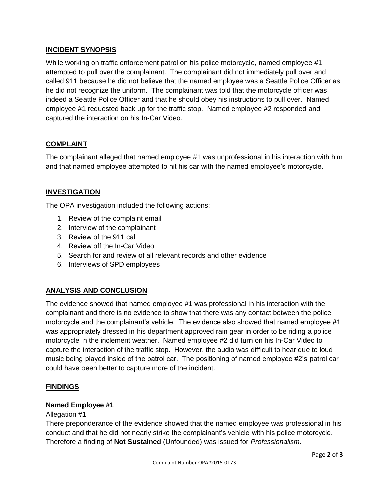# **INCIDENT SYNOPSIS**

While working on traffic enforcement patrol on his police motorcycle, named employee #1 attempted to pull over the complainant. The complainant did not immediately pull over and called 911 because he did not believe that the named employee was a Seattle Police Officer as he did not recognize the uniform. The complainant was told that the motorcycle officer was indeed a Seattle Police Officer and that he should obey his instructions to pull over. Named employee #1 requested back up for the traffic stop. Named employee #2 responded and captured the interaction on his In-Car Video.

# **COMPLAINT**

The complainant alleged that named employee #1 was unprofessional in his interaction with him and that named employee attempted to hit his car with the named employee's motorcycle.

# **INVESTIGATION**

The OPA investigation included the following actions:

- 1. Review of the complaint email
- 2. Interview of the complainant
- 3. Review of the 911 call
- 4. Review off the In-Car Video
- 5. Search for and review of all relevant records and other evidence
- 6. Interviews of SPD employees

# **ANALYSIS AND CONCLUSION**

The evidence showed that named employee #1 was professional in his interaction with the complainant and there is no evidence to show that there was any contact between the police motorcycle and the complainant's vehicle. The evidence also showed that named employee #1 was appropriately dressed in his department approved rain gear in order to be riding a police motorcycle in the inclement weather. Named employee #2 did turn on his In-Car Video to capture the interaction of the traffic stop. However, the audio was difficult to hear due to loud music being played inside of the patrol car. The positioning of named employee #2's patrol car could have been better to capture more of the incident.

#### **FINDINGS**

#### **Named Employee #1**

#### Allegation #1

There preponderance of the evidence showed that the named employee was professional in his conduct and that he did not nearly strike the complainant's vehicle with his police motorcycle. Therefore a finding of **Not Sustained** (Unfounded) was issued for *Professionalism*.